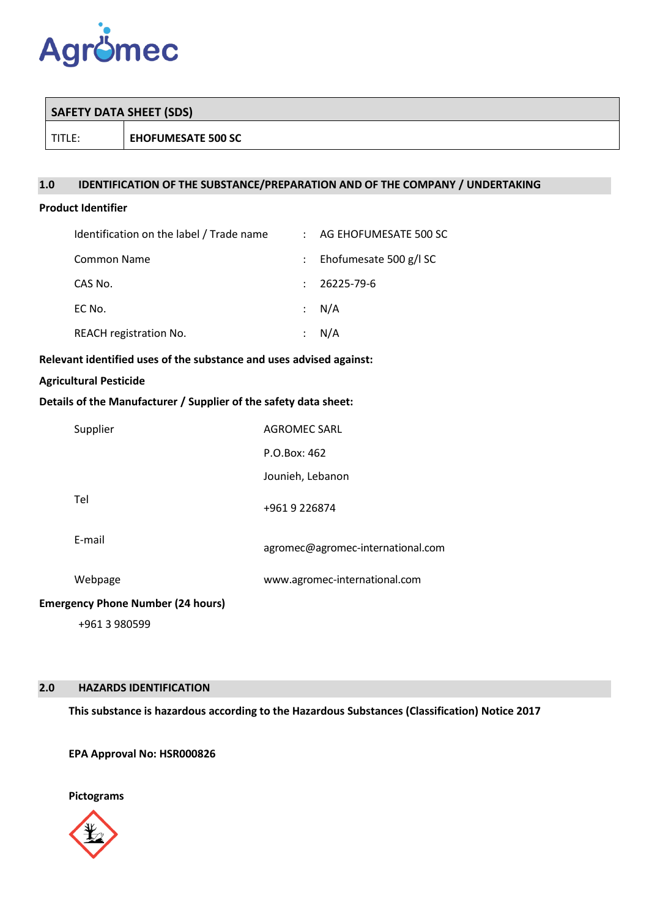

| <b>SAFETY DATA SHEET (SDS)</b> |                           |  |
|--------------------------------|---------------------------|--|
| TITLE:                         | <b>EHOFUMESATE 500 SC</b> |  |
|                                |                           |  |

# **1.0 IDENTIFICATION OF THE SUBSTANCE/PREPARATION AND OF THE COMPANY / UNDERTAKING**

# **Product Identifier**

| Identification on the label / Trade name |               | : AG EHOFUMESATE 500 SC |
|------------------------------------------|---------------|-------------------------|
| Common Name                              |               | Ehofumesate 500 g/l SC  |
| CAS No.                                  | $\mathcal{L}$ | 26225-79-6              |
| EC No.                                   |               | : N/A                   |
| <b>REACH registration No.</b>            |               | N/A                     |

## **Relevant identified uses of the substance and uses advised against:**

### **Agricultural Pesticide**

# **Details of the Manufacturer / Supplier of the safety data sheet:**

| Supplier                                 | <b>AGROMEC SARL</b>               |
|------------------------------------------|-----------------------------------|
|                                          | P.O.Box: 462                      |
|                                          | Jounieh, Lebanon                  |
| Tel                                      | +961 9 226874                     |
| E-mail                                   | agromec@agromec-international.com |
| Webpage                                  | www.agromec-international.com     |
| <b>Emergency Phone Number (24 hours)</b> |                                   |
| 0.001200000                              |                                   |

# +961 3 980599

# **2.0 HAZARDS IDENTIFICATION**

**This substance is hazardous according to the Hazardous Substances (Classification) Notice 2017**

**EPA Approval No: HSR000826**

**Pictograms**

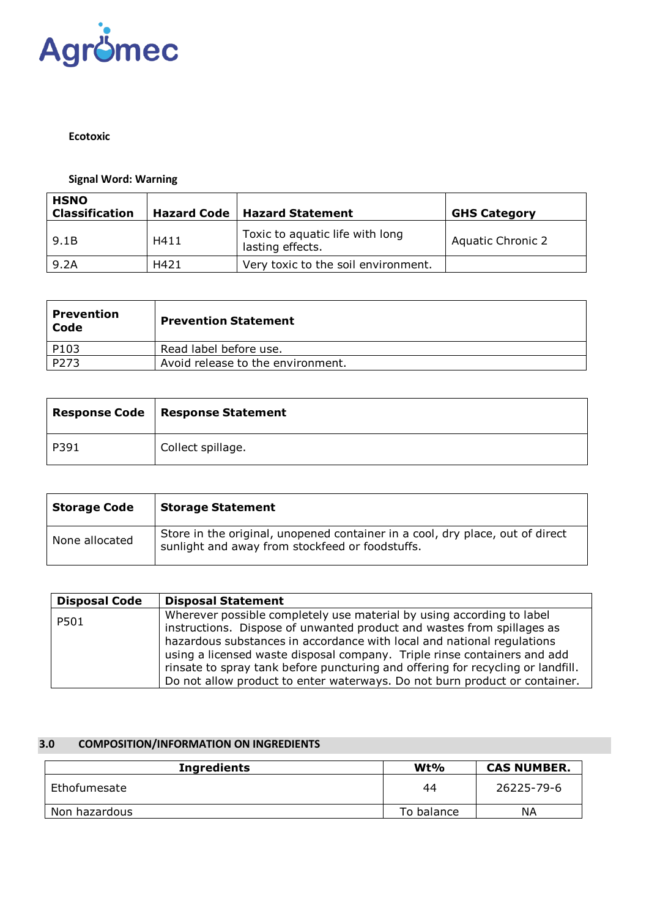

# **Ecotoxic**

**Signal Word: Warning**

| <b>HSNO</b><br><b>Classification</b> |      | <b>Hazard Code   Hazard Statement</b>               | <b>GHS Category</b>      |
|--------------------------------------|------|-----------------------------------------------------|--------------------------|
| 9.1B                                 | H411 | Toxic to aquatic life with long<br>lasting effects. | <b>Aquatic Chronic 2</b> |
| 9.2A                                 | H421 | Very toxic to the soil environment.                 |                          |

| Prevention<br>Code | <b>Prevention Statement</b>       |  |  |
|--------------------|-----------------------------------|--|--|
| P103               | Read label before use.            |  |  |
| P273               | Avoid release to the environment. |  |  |

|      | Response Code   Response Statement |
|------|------------------------------------|
| P391 | Collect spillage.                  |

| <b>Storage Code</b> | <b>Storage Statement</b>                                                                                                         |
|---------------------|----------------------------------------------------------------------------------------------------------------------------------|
| None allocated      | Store in the original, unopened container in a cool, dry place, out of direct<br>sunlight and away from stockfeed or foodstuffs. |

| <b>Disposal Code</b> | <b>Disposal Statement</b>                                                                                                                                                                                                                                                                                                                                                                |
|----------------------|------------------------------------------------------------------------------------------------------------------------------------------------------------------------------------------------------------------------------------------------------------------------------------------------------------------------------------------------------------------------------------------|
| P501                 | Wherever possible completely use material by using according to label<br>instructions. Dispose of unwanted product and wastes from spillages as<br>hazardous substances in accordance with local and national regulations<br>using a licensed waste disposal company. Triple rinse containers and add<br>rinsate to spray tank before puncturing and offering for recycling or landfill. |
|                      | Do not allow product to enter waterways. Do not burn product or container.                                                                                                                                                                                                                                                                                                               |

## **3.0 COMPOSITION/INFORMATION ON INGREDIENTS**

| <b>Ingredients</b> | $Wt\%$     | <b>CAS NUMBER.</b> |
|--------------------|------------|--------------------|
| Ethofumesate       | 44         | 26225-79-6         |
| Non hazardous      | To balance | ΝA                 |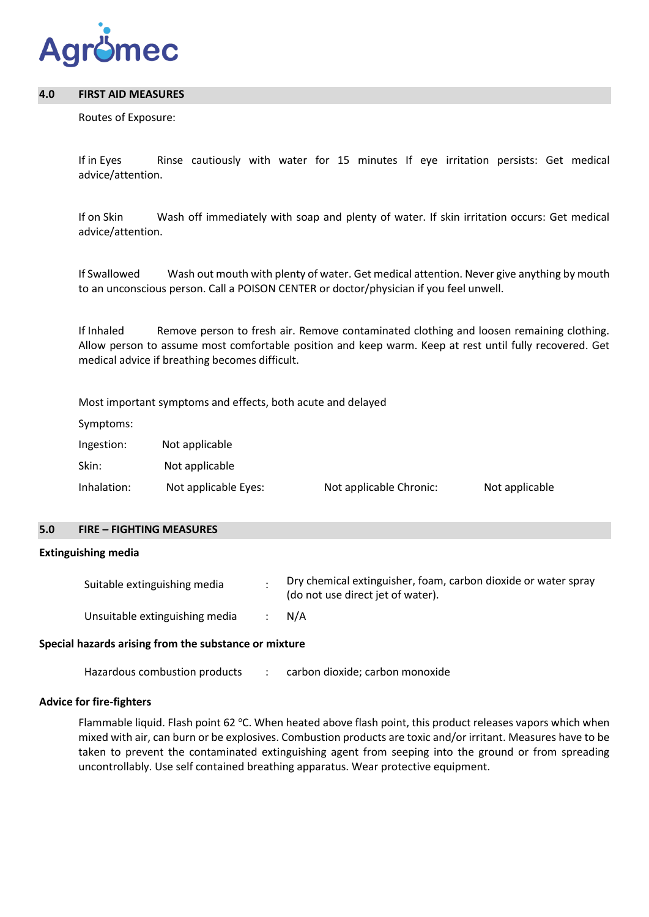

### **4.0 FIRST AID MEASURES**

Routes of Exposure:

If in Eyes Rinse cautiously with water for 15 minutes If eye irritation persists: Get medical advice/attention.

If on Skin Wash off immediately with soap and plenty of water. If skin irritation occurs: Get medical advice/attention.

If Swallowed Wash out mouth with plenty of water. Get medical attention. Never give anything by mouth to an unconscious person. Call a POISON CENTER or doctor/physician if you feel unwell.

If Inhaled Remove person to fresh air. Remove contaminated clothing and loosen remaining clothing. Allow person to assume most comfortable position and keep warm. Keep at rest until fully recovered. Get medical advice if breathing becomes difficult.

Most important symptoms and effects, both acute and delayed

Symptoms:

Ingestion: Not applicable

Skin: Not applicable

Inhalation: Not applicable Eyes: Not applicable Chronic: Not applicable

### **5.0 FIRE – FIGHTING MEASURES**

#### **Extinguishing media**

| Suitable extinguishing media   | Dry chemical extinguisher, foam, carbon dioxide or water spray<br>(do not use direct jet of water). |
|--------------------------------|-----------------------------------------------------------------------------------------------------|
| Unsuitable extinguishing media | N/A                                                                                                 |

## **Special hazards arising from the substance or mixture**

Hazardous combustion products : carbon dioxide; carbon monoxide

## **Advice for fire-fighters**

Flammable liquid. Flash point 62 °C. When heated above flash point, this product releases vapors which when mixed with air, can burn or be explosives. Combustion products are toxic and/or irritant. Measures have to be taken to prevent the contaminated extinguishing agent from seeping into the ground or from spreading uncontrollably. Use self contained breathing apparatus. Wear protective equipment.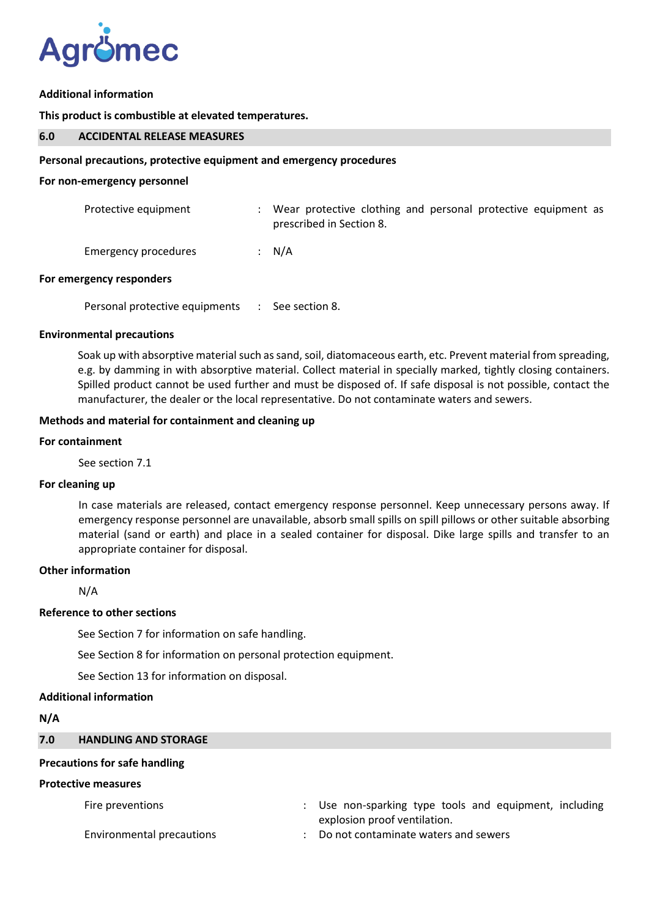

### **Additional information**

### **This product is combustible at elevated temperatures.**

# **6.0 ACCIDENTAL RELEASE MEASURES**

### **Personal precautions, protective equipment and emergency procedures**

#### **For non-emergency personnel**

| Protective equipment | : Wear protective clothing and personal protective equipment as<br>prescribed in Section 8. |
|----------------------|---------------------------------------------------------------------------------------------|
| Emergency procedures | : $N/A$                                                                                     |

#### **For emergency responders**

Personal protective equipments : See section 8.

#### **Environmental precautions**

Soak up with absorptive material such as sand, soil, diatomaceous earth, etc. Prevent material from spreading, e.g. by damming in with absorptive material. Collect material in specially marked, tightly closing containers. Spilled product cannot be used further and must be disposed of. If safe disposal is not possible, contact the manufacturer, the dealer or the local representative. Do not contaminate waters and sewers.

### **Methods and material for containment and cleaning up**

#### **For containment**

See section 7.1

#### **For cleaning up**

In case materials are released, contact emergency response personnel. Keep unnecessary persons away. If emergency response personnel are unavailable, absorb small spills on spill pillows or other suitable absorbing material (sand or earth) and place in a sealed container for disposal. Dike large spills and transfer to an appropriate container for disposal.

#### **Other information**

N/A

## **Reference to other sections**

See Section 7 for information on safe handling.

See Section 8 for information on personal protection equipment.

See Section 13 for information on disposal.

### **Additional information**

## **N/A**

### **7.0 HANDLING AND STORAGE**

#### **Precautions for safe handling**

#### **Protective measures**

- Fire preventions The state of the Use non-sparking type tools and equipment, including explosion proof ventilation.
- 
- Environmental precautions **Environmental** precautions **in the CES** is a Do not contaminate waters and sewers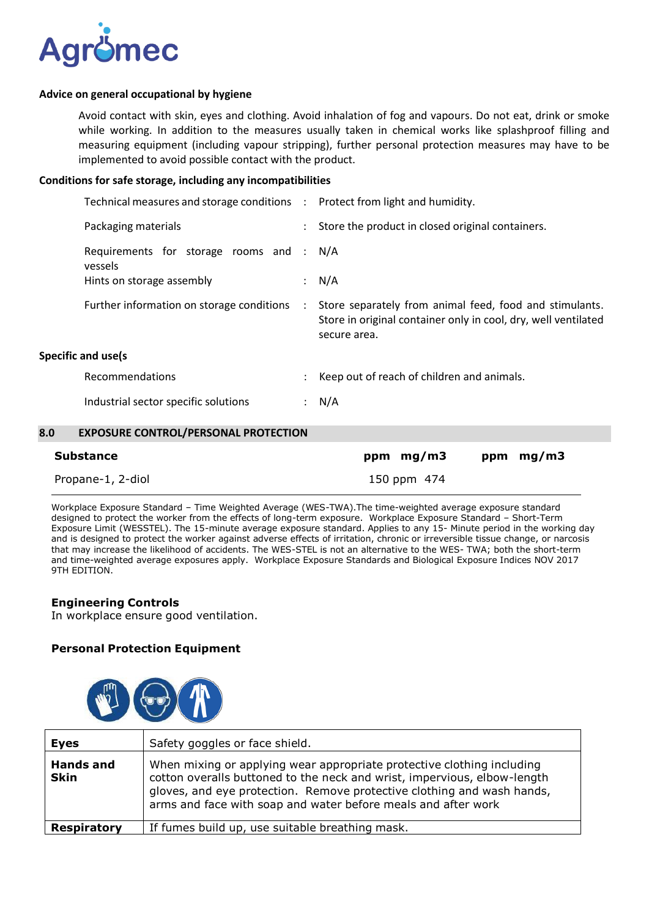

### **Advice on general occupational by hygiene**

Avoid contact with skin, eyes and clothing. Avoid inhalation of fog and vapours. Do not eat, drink or smoke while working. In addition to the measures usually taken in chemical works like splashproof filling and measuring equipment (including vapour stripping), further personal protection measures may have to be implemented to avoid possible contact with the product.

### **Conditions for safe storage, including any incompatibilities**

| Technical measures and storage conditions : Protect from light and humidity. |                   |                                                                                                                                           |
|------------------------------------------------------------------------------|-------------------|-------------------------------------------------------------------------------------------------------------------------------------------|
| Packaging materials                                                          |                   | Store the product in closed original containers.                                                                                          |
| Requirements for storage rooms and : N/A<br>vessels                          |                   |                                                                                                                                           |
| Hints on storage assembly                                                    | $\mathcal{L}$     | N/A                                                                                                                                       |
| Further information on storage conditions                                    | $\sim$ 100 $\sim$ | Store separately from animal feed, food and stimulants.<br>Store in original container only in cool, dry, well ventilated<br>secure area. |
| Specific and use(s                                                           |                   |                                                                                                                                           |
| Recommendations                                                              |                   | Keep out of reach of children and animals.                                                                                                |
| Industrial sector specific solutions                                         |                   | N/A                                                                                                                                       |

#### **8.0 EXPOSURE CONTROL/PERSONAL PROTECTION**

| <b>Substance</b>  | ppm $mg/m3$ | ppm $mg/m3$ |
|-------------------|-------------|-------------|
| Propane-1, 2-diol | 150 ppm 474 |             |

Workplace Exposure Standard – Time Weighted Average (WES-TWA).The time-weighted average exposure standard designed to protect the worker from the effects of long-term exposure. Workplace Exposure Standard – Short-Term Exposure Limit (WESSTEL). The 15-minute average exposure standard. Applies to any 15- Minute period in the working day and is designed to protect the worker against adverse effects of irritation, chronic or irreversible tissue change, or narcosis that may increase the likelihood of accidents. The WES-STEL is not an alternative to the WES- TWA; both the short-term and time-weighted average exposures apply. Workplace Exposure Standards and Biological Exposure Indices NOV 2017 9TH EDITION.

## **Engineering Controls**

In workplace ensure good ventilation.

## **Personal Protection Equipment**



| <b>Eyes</b>                     | Safety goggles or face shield.                                                                                                                                                                                                                                                                |
|---------------------------------|-----------------------------------------------------------------------------------------------------------------------------------------------------------------------------------------------------------------------------------------------------------------------------------------------|
| <b>Hands and</b><br><b>Skin</b> | When mixing or applying wear appropriate protective clothing including<br>cotton overalls buttoned to the neck and wrist, impervious, elbow-length<br>gloves, and eye protection. Remove protective clothing and wash hands,<br>arms and face with soap and water before meals and after work |
| <b>Respiratory</b>              | If fumes build up, use suitable breathing mask.                                                                                                                                                                                                                                               |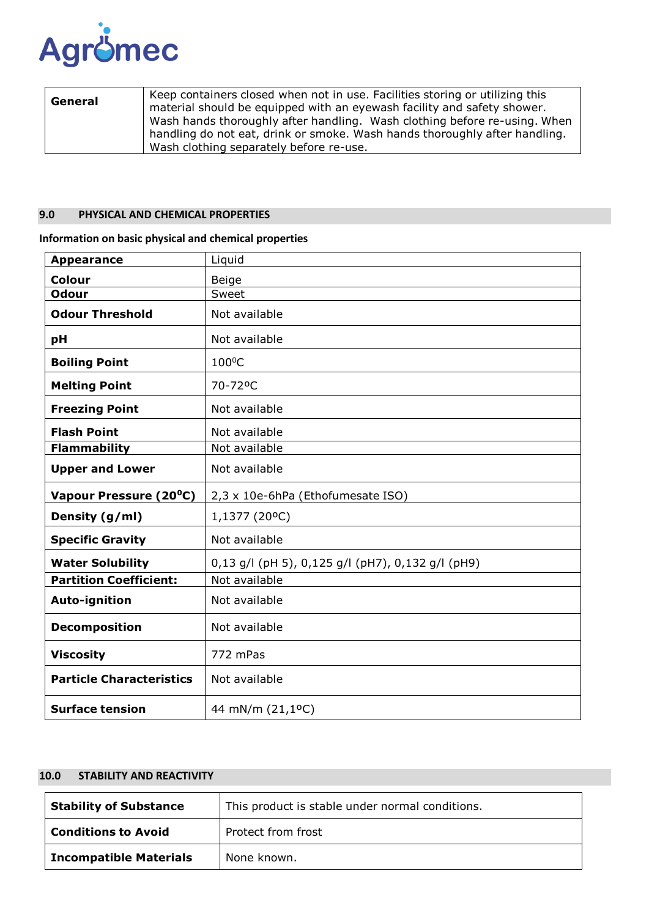

| Wash clothing separately before re-use. |
|-----------------------------------------|
|-----------------------------------------|

# **9.0 PHYSICAL AND CHEMICAL PROPERTIES**

| <b>Appearance</b>               | Liquid                                            |
|---------------------------------|---------------------------------------------------|
| <b>Colour</b>                   | Beige                                             |
| <b>Odour</b>                    | Sweet                                             |
| <b>Odour Threshold</b>          | Not available                                     |
| pH                              | Not available                                     |
| <b>Boiling Point</b>            | $100^0C$                                          |
| <b>Melting Point</b>            | 70-72°C                                           |
| <b>Freezing Point</b>           | Not available                                     |
| <b>Flash Point</b>              | Not available                                     |
| <b>Flammability</b>             | Not available                                     |
| <b>Upper and Lower</b>          | Not available                                     |
| Vapour Pressure (20°C)          | 2,3 x 10e-6hPa (Ethofumesate ISO)                 |
| Density (g/ml)                  | 1,1377 (20°C)                                     |
| <b>Specific Gravity</b>         | Not available                                     |
| <b>Water Solubility</b>         | 0,13 g/l (pH 5), 0,125 g/l (pH7), 0,132 g/l (pH9) |
| <b>Partition Coefficient:</b>   | Not available                                     |
| Auto-ignition                   | Not available                                     |
| <b>Decomposition</b>            | Not available                                     |
| <b>Viscosity</b>                | 772 mPas                                          |
|                                 |                                                   |
| <b>Particle Characteristics</b> | Not available                                     |

# **Information on basic physical and chemical properties**

## **10.0 STABILITY AND REACTIVITY**

| <b>Stability of Substance</b> | This product is stable under normal conditions. |
|-------------------------------|-------------------------------------------------|
| <b>Conditions to Avoid</b>    | Protect from frost                              |
| <b>Incompatible Materials</b> | None known.                                     |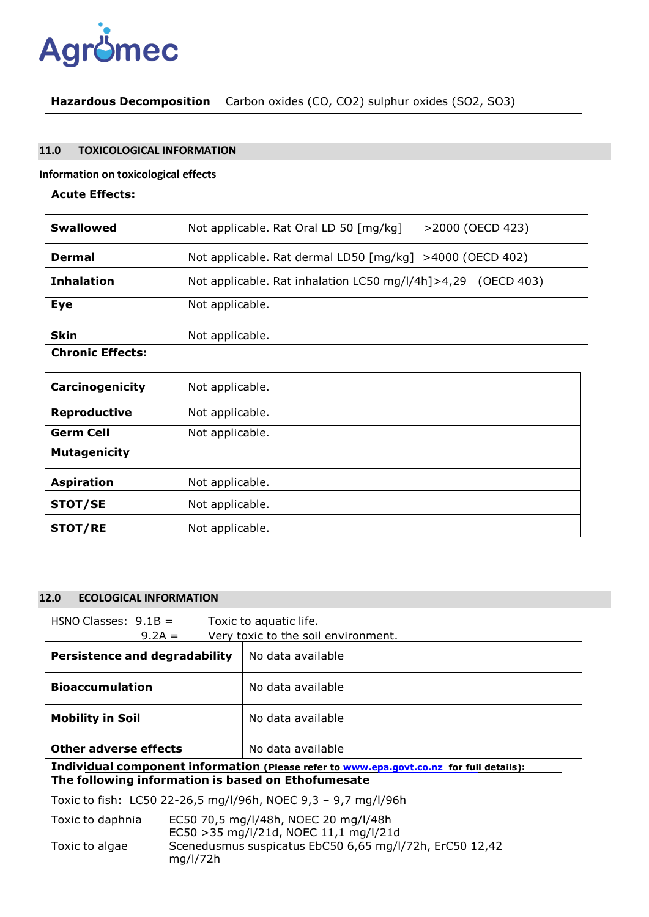

| <b>Hazardous Decomposition</b>   Carbon oxides (CO, CO2) sulphur oxides (SO2, SO3) |  |  |
|------------------------------------------------------------------------------------|--|--|
|                                                                                    |  |  |

# **11.0 TOXICOLOGICAL INFORMATION**

### **Information on toxicological effects**

## **Acute Effects:**

| <b>Swallowed</b>  | Not applicable. Rat Oral LD 50 [mg/kg]<br>>2000 (OECD 423)   |
|-------------------|--------------------------------------------------------------|
| <b>Dermal</b>     | Not applicable. Rat dermal LD50 [mg/kg] >4000 (OECD 402)     |
| <b>Inhalation</b> | Not applicable. Rat inhalation LC50 mg/l/4h]>4,29 (OECD 403) |
| Eye               | Not applicable.                                              |
| <b>Skin</b>       | Not applicable.                                              |

**Chronic Effects:**

| Carcinogenicity     | Not applicable. |
|---------------------|-----------------|
| Reproductive        | Not applicable. |
| <b>Germ Cell</b>    | Not applicable. |
| <b>Mutagenicity</b> |                 |
| <b>Aspiration</b>   | Not applicable. |
| <b>STOT/SE</b>      | Not applicable. |
| <b>STOT/RE</b>      | Not applicable. |

# **12.0 ECOLOGICAL INFORMATION**

| HSNO Classes: $9.1B =$<br>$9.2A =$                        | Toxic to aquatic life.<br>Very toxic to the soil environment. |  |
|-----------------------------------------------------------|---------------------------------------------------------------|--|
| <b>Persistence and degradability</b><br>No data available |                                                               |  |
| <b>Bioaccumulation</b>                                    | No data available                                             |  |
| <b>Mobility in Soil</b>                                   | No data available                                             |  |
| <b>Other adverse effects</b>                              | No data available                                             |  |

**Individual component information (Please refer to [www.epa.govt.co.nz f](http://www.epa.govt.co.nz/)or full details): The following information is based on Ethofumesate**

Toxic to fish: LC50 22-26,5 mg/l/96h, NOEC 9,3 – 9,7 mg/l/96h

| Toxic to daphnia | EC50 70,5 mg/l/48h, NOEC 20 mg/l/48h                    |
|------------------|---------------------------------------------------------|
|                  | EC50 > 35 mg/l/21d, NOEC 11,1 mg/l/21d                  |
| Toxic to algae   | Scenedusmus suspicatus EbC50 6,65 mg/l/72h, ErC50 12,42 |
|                  | ma/l/72h                                                |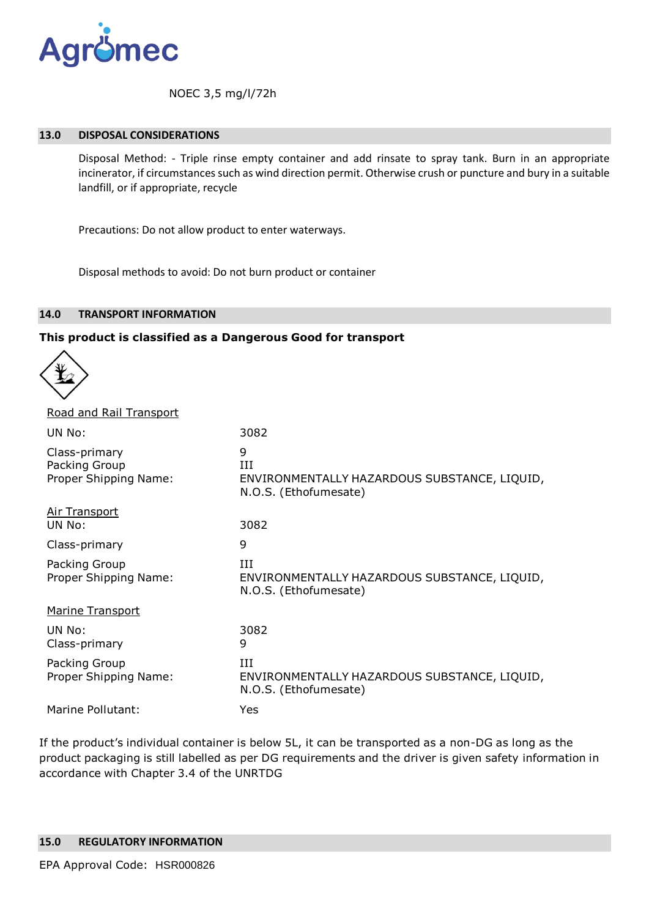

NOEC 3,5 mg/l/72h

### **13.0 DISPOSAL CONSIDERATIONS**

Disposal Method: - Triple rinse empty container and add rinsate to spray tank. Burn in an appropriate incinerator, if circumstances such as wind direction permit. Otherwise crush or puncture and bury in a suitable landfill, or if appropriate, recycle

Precautions: Do not allow product to enter waterways.

Disposal methods to avoid: Do not burn product or container

#### **14.0 TRANSPORT INFORMATION**

## **This product is classified as a Dangerous Good for transport**



| Road and Rail Transport                                 |                                                                                 |
|---------------------------------------------------------|---------------------------------------------------------------------------------|
| UN No:                                                  | 3082                                                                            |
| Class-primary<br>Packing Group<br>Proper Shipping Name: | 9<br>Ш<br>ENVIRONMENTALLY HAZARDOUS SUBSTANCE, LIQUID,<br>N.O.S. (Ethofumesate) |
| <b>Air Transport</b><br>UN No:                          | 3082                                                                            |
| Class-primary                                           | 9                                                                               |
| Packing Group<br>Proper Shipping Name:                  | III<br>ENVIRONMENTALLY HAZARDOUS SUBSTANCE, LIQUID,<br>N.O.S. (Ethofumesate)    |
| Marine Transport                                        |                                                                                 |
| UN No:<br>Class-primary                                 | 3082<br>9                                                                       |
| Packing Group<br>Proper Shipping Name:                  | III<br>ENVIRONMENTALLY HAZARDOUS SUBSTANCE, LIQUID,<br>N.O.S. (Ethofumesate)    |
| Marine Pollutant:                                       | Yes                                                                             |

If the product's individual container is below 5L, it can be transported as a non-DG as long as the product packaging is still labelled as per DG requirements and the driver is given safety information in accordance with Chapter 3.4 of the UNRTDG

# **15.0 REGULATORY INFORMATION**